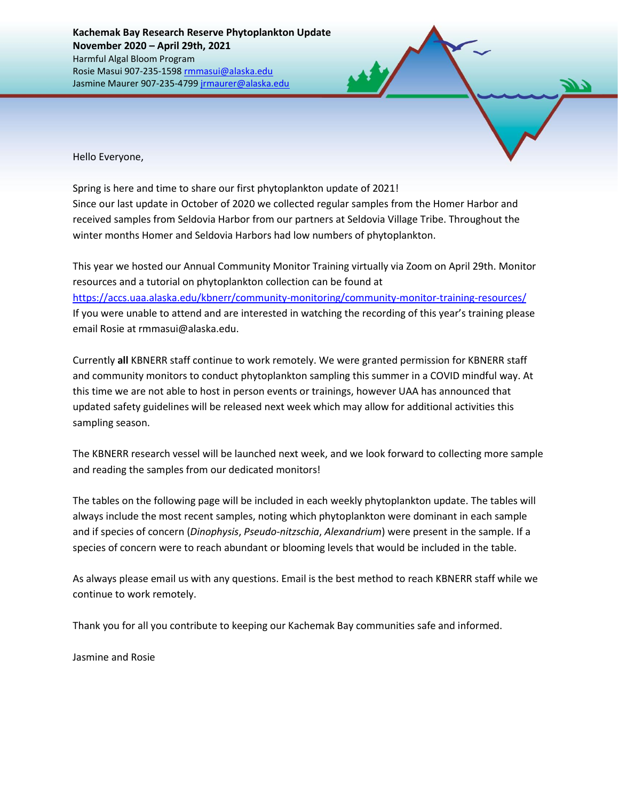Hello Everyone,

Spring is here and time to share our first phytoplankton update of 2021! Since our last update in October of 2020 we collected regular samples from the Homer Harbor and received samples from Seldovia Harbor from our partners at Seldovia Village Tribe. Throughout the winter months Homer and Seldovia Harbors had low numbers of phytoplankton.

This year we hosted our Annual Community Monitor Training virtually via Zoom on April 29th. Monitor resources and a tutorial on phytoplankton collection can be found at <https://accs.uaa.alaska.edu/kbnerr/community-monitoring/community-monitor-training-resources/> If you were unable to attend and are interested in watching the recording of this year's training please email Rosie at rmmasui@alaska.edu.

Currently **all** KBNERR staff continue to work remotely. We were granted permission for KBNERR staff and community monitors to conduct phytoplankton sampling this summer in a COVID mindful way. At this time we are not able to host in person events or trainings, however UAA has announced that updated safety guidelines will be released next week which may allow for additional activities this sampling season.

The KBNERR research vessel will be launched next week, and we look forward to collecting more sample and reading the samples from our dedicated monitors!

The tables on the following page will be included in each weekly phytoplankton update. The tables will always include the most recent samples, noting which phytoplankton were dominant in each sample and if species of concern (*Dinophysis*, *Pseudo-nitzschia*, *Alexandrium*) were present in the sample. If a species of concern were to reach abundant or blooming levels that would be included in the table.

As always please email us with any questions. Email is the best method to reach KBNERR staff while we continue to work remotely.

Thank you for all you contribute to keeping our Kachemak Bay communities safe and informed.

Jasmine and Rosie